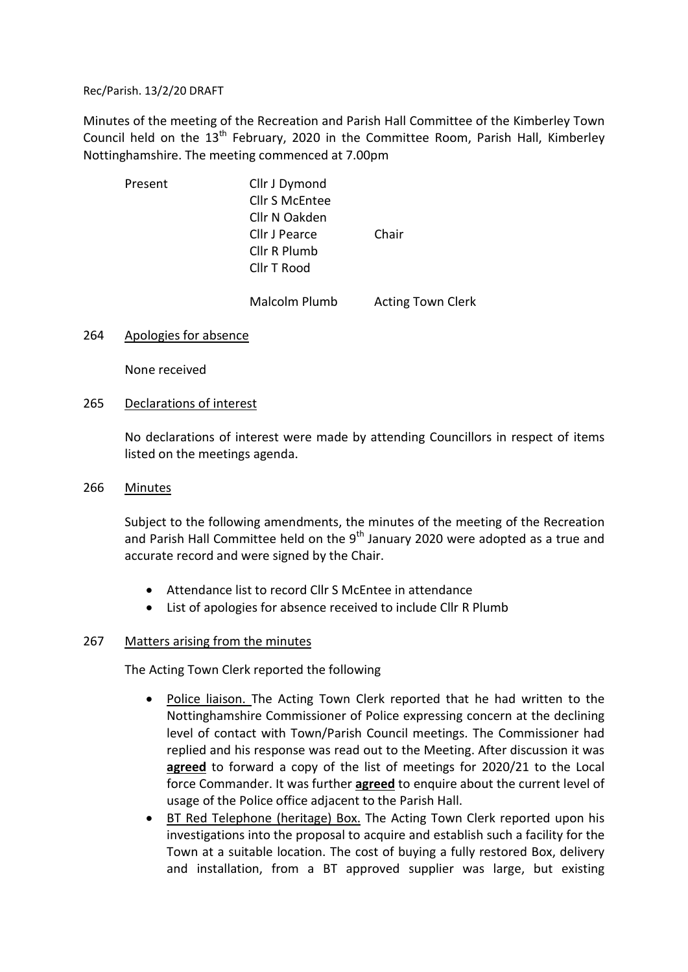Rec/Parish. 13/2/20 DRAFT

Minutes of the meeting of the Recreation and Parish Hall Committee of the Kimberley Town Council held on the  $13<sup>th</sup>$  February, 2020 in the Committee Room, Parish Hall, Kimberley Nottinghamshire. The meeting commenced at 7.00pm

| Present | Cllr J Dymond<br><b>Cllr S McEntee</b><br>Cllr N Oakden<br>Cllr J Pearce<br>Cllr R Plumb<br>Cllr T Rood | Chair                    |
|---------|---------------------------------------------------------------------------------------------------------|--------------------------|
|         | Malcolm Plumb                                                                                           | <b>Acting Town Clerk</b> |

# 264 Apologies for absence

None received

#### 265 Declarations of interest

 No declarations of interest were made by attending Councillors in respect of items listed on the meetings agenda.

#### 266 Minutes

 Subject to the following amendments, the minutes of the meeting of the Recreation and Parish Hall Committee held on the  $9<sup>th</sup>$  January 2020 were adopted as a true and accurate record and were signed by the Chair.

- Attendance list to record Cllr S McEntee in attendance
- List of apologies for absence received to include Cllr R Plumb

# 267 Matters arising from the minutes

The Acting Town Clerk reported the following

- Police liaison. The Acting Town Clerk reported that he had written to the Nottinghamshire Commissioner of Police expressing concern at the declining level of contact with Town/Parish Council meetings. The Commissioner had replied and his response was read out to the Meeting. After discussion it was agreed to forward a copy of the list of meetings for 2020/21 to the Local force Commander. It was further agreed to enquire about the current level of usage of the Police office adjacent to the Parish Hall.
- BT Red Telephone (heritage) Box. The Acting Town Clerk reported upon his investigations into the proposal to acquire and establish such a facility for the Town at a suitable location. The cost of buying a fully restored Box, delivery and installation, from a BT approved supplier was large, but existing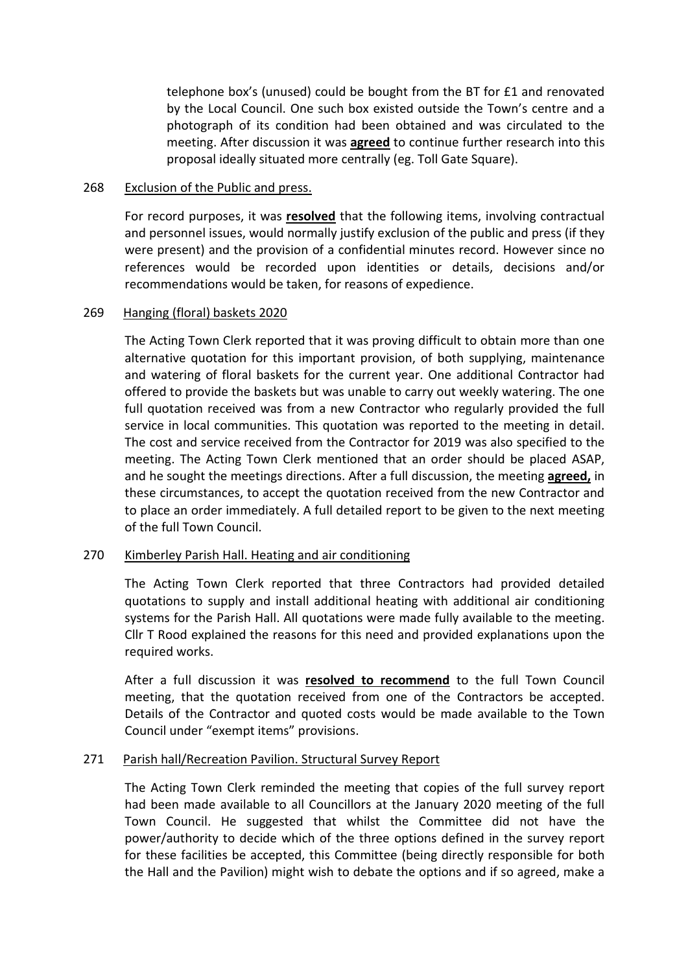telephone box's (unused) could be bought from the BT for £1 and renovated by the Local Council. One such box existed outside the Town's centre and a photograph of its condition had been obtained and was circulated to the meeting. After discussion it was **agreed** to continue further research into this proposal ideally situated more centrally (eg. Toll Gate Square).

#### 268 Exclusion of the Public and press.

For record purposes, it was resolved that the following items, involving contractual and personnel issues, would normally justify exclusion of the public and press (if they were present) and the provision of a confidential minutes record. However since no references would be recorded upon identities or details, decisions and/or recommendations would be taken, for reasons of expedience.

# 269 Hanging (floral) baskets 2020

 The Acting Town Clerk reported that it was proving difficult to obtain more than one alternative quotation for this important provision, of both supplying, maintenance and watering of floral baskets for the current year. One additional Contractor had offered to provide the baskets but was unable to carry out weekly watering. The one full quotation received was from a new Contractor who regularly provided the full service in local communities. This quotation was reported to the meeting in detail. The cost and service received from the Contractor for 2019 was also specified to the meeting. The Acting Town Clerk mentioned that an order should be placed ASAP, and he sought the meetings directions. After a full discussion, the meeting agreed, in these circumstances, to accept the quotation received from the new Contractor and to place an order immediately. A full detailed report to be given to the next meeting of the full Town Council.

# 270 Kimberley Parish Hall. Heating and air conditioning

 The Acting Town Clerk reported that three Contractors had provided detailed quotations to supply and install additional heating with additional air conditioning systems for the Parish Hall. All quotations were made fully available to the meeting. Cllr T Rood explained the reasons for this need and provided explanations upon the required works.

After a full discussion it was resolved to recommend to the full Town Council meeting, that the quotation received from one of the Contractors be accepted. Details of the Contractor and quoted costs would be made available to the Town Council under "exempt items" provisions.

# 271 Parish hall/Recreation Pavilion. Structural Survey Report

 The Acting Town Clerk reminded the meeting that copies of the full survey report had been made available to all Councillors at the January 2020 meeting of the full Town Council. He suggested that whilst the Committee did not have the power/authority to decide which of the three options defined in the survey report for these facilities be accepted, this Committee (being directly responsible for both the Hall and the Pavilion) might wish to debate the options and if so agreed, make a